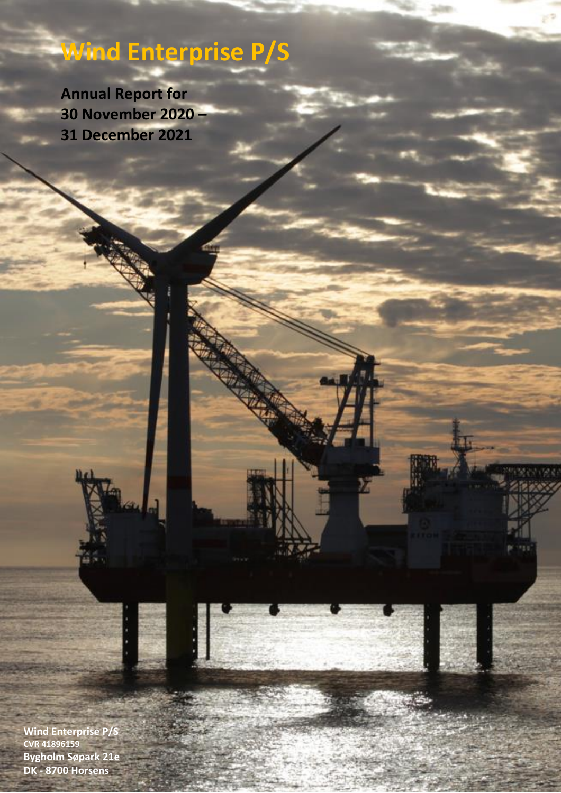#### **ANNUAL REPORT 2020/21**  $\blacksquare$ Wind Enterprise P **Wind Enterprise P/S**

**Annual Report for 30 November 2020 – 31 December 2021**

WIND ENTERTAINMENT CONTINUES IN A 20 MA 20 MA 20 MA 20 MA 20 MA 20 MA 20 MA 20 MA 20 MA 20 MA 20 MA 20 MA 20 MA **Wind Enterprise P/S CVR 41896159 Bygholm Søpark 21e DK - 8700 Horsens**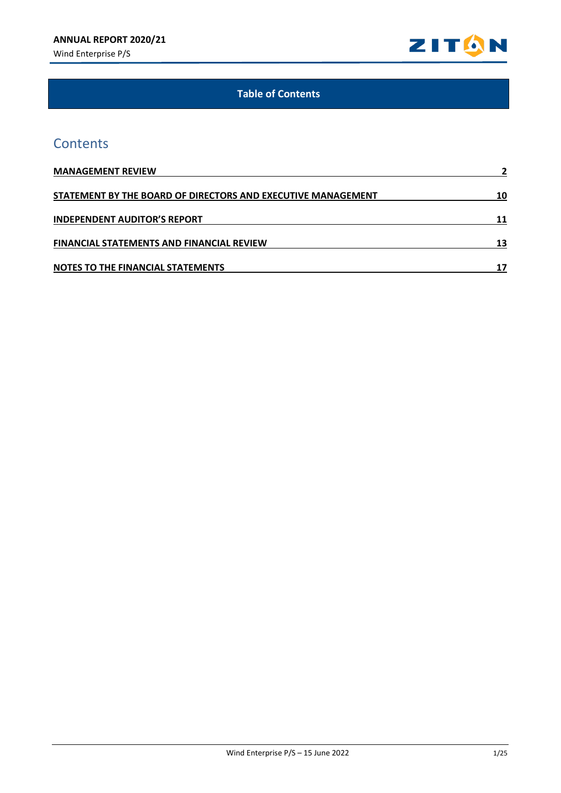

# **Table of Contents**

# **Contents**

| <b>MANAGEMENT REVIEW</b>                                     |    |
|--------------------------------------------------------------|----|
| STATEMENT BY THE BOARD OF DIRECTORS AND EXECUTIVE MANAGEMENT | 10 |
| <b>INDEPENDENT AUDITOR'S REPORT</b>                          | 11 |
| <b>FINANCIAL STATEMENTS AND FINANCIAL REVIEW</b>             | 13 |
| NOTES TO THE FINANCIAL STATEMENTS                            | 17 |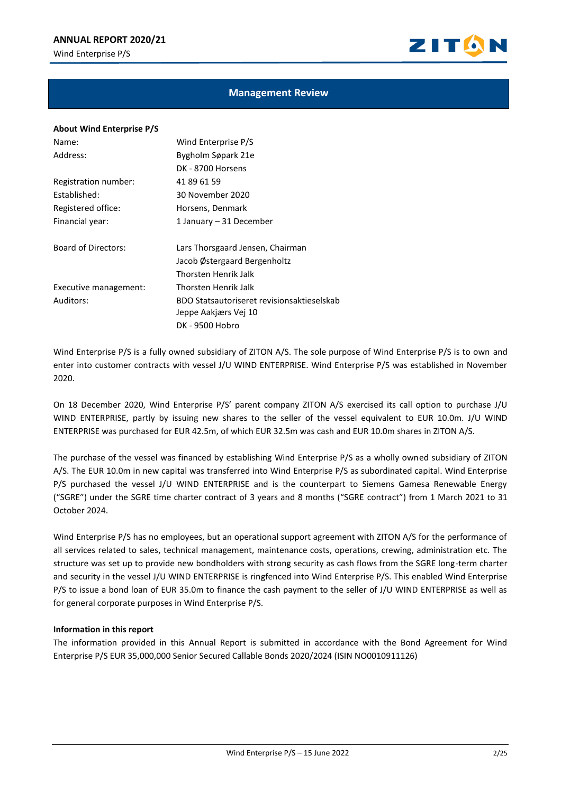#### **ANNUAL REPORT 2020/21**

Wind Enterprise P/S



## **Management Review**

#### <span id="page-2-0"></span>**About Wind Enterprise P/S**

| Name:                      | Wind Enterprise P/S                        |
|----------------------------|--------------------------------------------|
| Address:                   | Bygholm Søpark 21e                         |
|                            | DK - 8700 Horsens                          |
| Registration number:       | 41 89 61 59                                |
| Established:               | 30 November 2020                           |
| Registered office:         | Horsens, Denmark                           |
| Financial year:            | 1 January - 31 December                    |
|                            |                                            |
| <b>Board of Directors:</b> | Lars Thorsgaard Jensen, Chairman           |
|                            | Jacob Østergaard Bergenholtz               |
|                            | Thorsten Henrik Jalk                       |
| Executive management:      | Thorsten Henrik Jalk                       |
| Auditors:                  | BDO Statsautoriseret revisionsaktieselskab |
|                            | Jeppe Aakjærs Vej 10                       |
|                            | DK - 9500 Hobro                            |

Wind Enterprise P/S is a fully owned subsidiary of ZITON A/S. The sole purpose of Wind Enterprise P/S is to own and enter into customer contracts with vessel J/U WIND ENTERPRISE. Wind Enterprise P/S was established in November 2020.

On 18 December 2020, Wind Enterprise P/S' parent company ZITON A/S exercised its call option to purchase J/U WIND ENTERPRISE, partly by issuing new shares to the seller of the vessel equivalent to EUR 10.0m. J/U WIND ENTERPRISE was purchased for EUR 42.5m, of which EUR 32.5m was cash and EUR 10.0m shares in ZITON A/S.

The purchase of the vessel was financed by establishing Wind Enterprise P/S as a wholly owned subsidiary of ZITON A/S. The EUR 10.0m in new capital was transferred into Wind Enterprise P/S as subordinated capital. Wind Enterprise P/S purchased the vessel J/U WIND ENTERPRISE and is the counterpart to Siemens Gamesa Renewable Energy ("SGRE") under the SGRE time charter contract of 3 years and 8 months ("SGRE contract") from 1 March 2021 to 31 October 2024.

Wind Enterprise P/S has no employees, but an operational support agreement with ZITON A/S for the performance of all services related to sales, technical management, maintenance costs, operations, crewing, administration etc. The structure was set up to provide new bondholders with strong security as cash flows from the SGRE long-term charter and security in the vessel J/U WIND ENTERPRISE is ringfenced into Wind Enterprise P/S. This enabled Wind Enterprise P/S to issue a bond loan of EUR 35.0m to finance the cash payment to the seller of J/U WIND ENTERPRISE as well as for general corporate purposes in Wind Enterprise P/S.

#### **Information in this report**

The information provided in this Annual Report is submitted in accordance with the Bond Agreement for Wind Enterprise P/S EUR 35,000,000 Senior Secured Callable Bonds 2020/2024 (ISIN NO0010911126)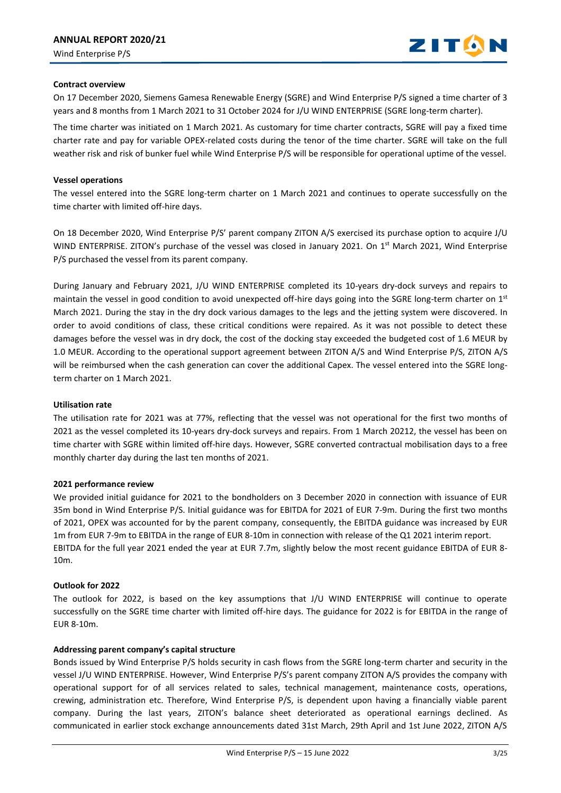

#### **Contract overview**

On 17 December 2020, Siemens Gamesa Renewable Energy (SGRE) and Wind Enterprise P/S signed a time charter of 3 years and 8 months from 1 March 2021 to 31 October 2024 for J/U WIND ENTERPRISE (SGRE long-term charter).

The time charter was initiated on 1 March 2021. As customary for time charter contracts, SGRE will pay a fixed time charter rate and pay for variable OPEX-related costs during the tenor of the time charter. SGRE will take on the full weather risk and risk of bunker fuel while Wind Enterprise P/S will be responsible for operational uptime of the vessel.

#### **Vessel operations**

The vessel entered into the SGRE long-term charter on 1 March 2021 and continues to operate successfully on the time charter with limited off-hire days.

On 18 December 2020, Wind Enterprise P/S' parent company ZITON A/S exercised its purchase option to acquire J/U WIND ENTERPRISE. ZITON's purchase of the vessel was closed in January 2021. On 1<sup>st</sup> March 2021, Wind Enterprise P/S purchased the vessel from its parent company.

During January and February 2021, J/U WIND ENTERPRISE completed its 10-years dry-dock surveys and repairs to maintain the vessel in good condition to avoid unexpected off-hire days going into the SGRE long-term charter on  $1<sup>st</sup>$ March 2021. During the stay in the dry dock various damages to the legs and the jetting system were discovered. In order to avoid conditions of class, these critical conditions were repaired. As it was not possible to detect these damages before the vessel was in dry dock, the cost of the docking stay exceeded the budgeted cost of 1.6 MEUR by 1.0 MEUR. According to the operational support agreement between ZITON A/S and Wind Enterprise P/S, ZITON A/S will be reimbursed when the cash generation can cover the additional Capex. The vessel entered into the SGRE longterm charter on 1 March 2021.

#### **Utilisation rate**

The utilisation rate for 2021 was at 77%, reflecting that the vessel was not operational for the first two months of 2021 as the vessel completed its 10-years dry-dock surveys and repairs. From 1 March 20212, the vessel has been on time charter with SGRE within limited off-hire days. However, SGRE converted contractual mobilisation days to a free monthly charter day during the last ten months of 2021.

#### **2021 performance review**

We provided initial guidance for 2021 to the bondholders on 3 December 2020 in connection with issuance of EUR 35m bond in Wind Enterprise P/S. Initial guidance was for EBITDA for 2021 of EUR 7-9m. During the first two months of 2021, OPEX was accounted for by the parent company, consequently, the EBITDA guidance was increased by EUR 1m from EUR 7-9m to EBITDA in the range of EUR 8-10m in connection with release of the Q1 2021 interim report. EBITDA for the full year 2021 ended the year at EUR 7.7m, slightly below the most recent guidance EBITDA of EUR 8- 10m.

#### **Outlook for 2022**

The outlook for 2022, is based on the key assumptions that J/U WIND ENTERPRISE will continue to operate successfully on the SGRE time charter with limited off-hire days. The guidance for 2022 is for EBITDA in the range of EUR 8-10m.

#### **Addressing parent company's capital structure**

Bonds issued by Wind Enterprise P/S holds security in cash flows from the SGRE long-term charter and security in the vessel J/U WIND ENTERPRISE. However, Wind Enterprise P/S's parent company ZITON A/S provides the company with operational support for of all services related to sales, technical management, maintenance costs, operations, crewing, administration etc. Therefore, Wind Enterprise P/S, is dependent upon having a financially viable parent company. During the last years, ZITON's balance sheet deteriorated as operational earnings declined. As communicated in earlier stock exchange announcements dated 31st March, 29th April and 1st June 2022, ZITON A/S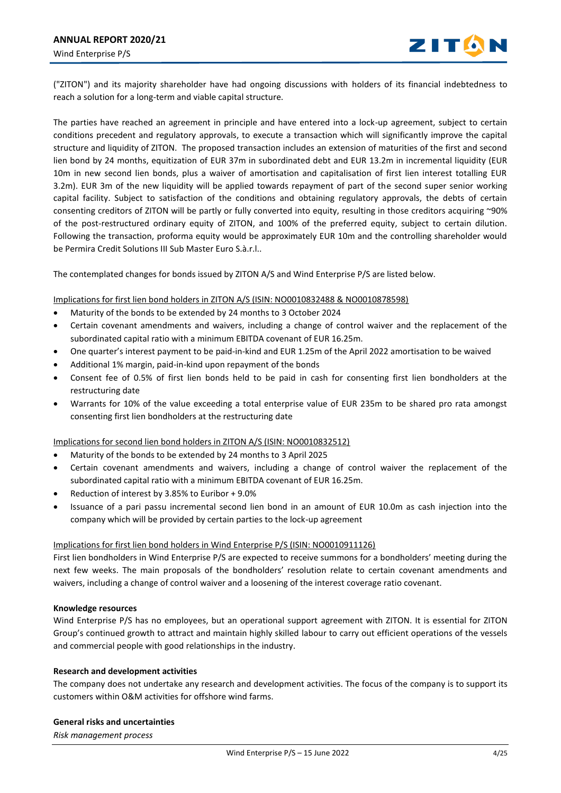

("ZITON") and its majority shareholder have had ongoing discussions with holders of its financial indebtedness to reach a solution for a long-term and viable capital structure.

The parties have reached an agreement in principle and have entered into a lock-up agreement, subject to certain conditions precedent and regulatory approvals, to execute a transaction which will significantly improve the capital structure and liquidity of ZITON. The proposed transaction includes an extension of maturities of the first and second lien bond by 24 months, equitization of EUR 37m in subordinated debt and EUR 13.2m in incremental liquidity (EUR 10m in new second lien bonds, plus a waiver of amortisation and capitalisation of first lien interest totalling EUR 3.2m). EUR 3m of the new liquidity will be applied towards repayment of part of the second super senior working capital facility. Subject to satisfaction of the conditions and obtaining regulatory approvals, the debts of certain consenting creditors of ZITON will be partly or fully converted into equity, resulting in those creditors acquiring ~90% of the post-restructured ordinary equity of ZITON, and 100% of the preferred equity, subject to certain dilution. Following the transaction, proforma equity would be approximately EUR 10m and the controlling shareholder would be Permira Credit Solutions III Sub Master Euro S.à.r.l..

The contemplated changes for bonds issued by ZITON A/S and Wind Enterprise P/S are listed below.

#### Implications for first lien bond holders in ZITON A/S (ISIN: NO0010832488 & NO0010878598)

- Maturity of the bonds to be extended by 24 months to 3 October 2024
- Certain covenant amendments and waivers, including a change of control waiver and the replacement of the subordinated capital ratio with a minimum EBITDA covenant of EUR 16.25m.
- One quarter's interest payment to be paid-in-kind and EUR 1.25m of the April 2022 amortisation to be waived
- Additional 1% margin, paid-in-kind upon repayment of the bonds
- Consent fee of 0.5% of first lien bonds held to be paid in cash for consenting first lien bondholders at the restructuring date
- Warrants for 10% of the value exceeding a total enterprise value of EUR 235m to be shared pro rata amongst consenting first lien bondholders at the restructuring date

#### Implications for second lien bond holders in ZITON A/S (ISIN: NO0010832512)

- Maturity of the bonds to be extended by 24 months to 3 April 2025
- Certain covenant amendments and waivers, including a change of control waiver the replacement of the subordinated capital ratio with a minimum EBITDA covenant of EUR 16.25m.
- Reduction of interest by 3.85% to Euribor + 9.0%
- Issuance of a pari passu incremental second lien bond in an amount of EUR 10.0m as cash injection into the company which will be provided by certain parties to the lock-up agreement

#### Implications for first lien bond holders in Wind Enterprise P/S (ISIN: NO0010911126)

First lien bondholders in Wind Enterprise P/S are expected to receive summons for a bondholders' meeting during the next few weeks. The main proposals of the bondholders' resolution relate to certain covenant amendments and waivers, including a change of control waiver and a loosening of the interest coverage ratio covenant.

#### **Knowledge resources**

Wind Enterprise P/S has no employees, but an operational support agreement with ZITON. It is essential for ZITON Group's continued growth to attract and maintain highly skilled labour to carry out efficient operations of the vessels and commercial people with good relationships in the industry.

#### **Research and development activities**

The company does not undertake any research and development activities. The focus of the company is to support its customers within O&M activities for offshore wind farms.

#### **General risks and uncertainties**

*Risk management process*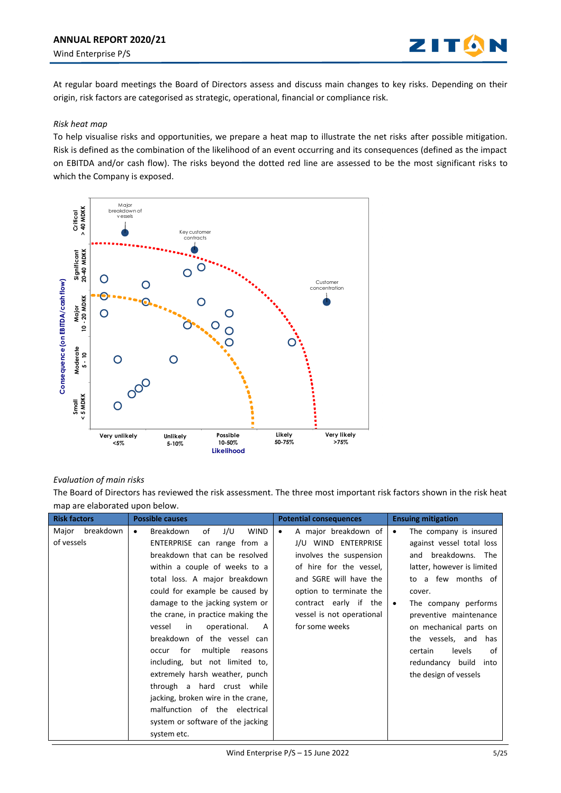

At regular board meetings the Board of Directors assess and discuss main changes to key risks. Depending on their origin, risk factors are categorised as strategic, operational, financial or compliance risk.

#### *Risk heat map*

To help visualise risks and opportunities, we prepare a heat map to illustrate the net risks after possible mitigation. Risk is defined as the combination of the likelihood of an event occurring and its consequences (defined as the impact on EBITDA and/or cash flow). The risks beyond the dotted red line are assessed to be the most significant risks to which the Company is exposed.



#### *Evaluation of main risks*

The Board of Directors has reviewed the risk assessment. The three most important risk factors shown in the risk heat map are elaborated upon below.

| <b>Risk factors</b>              | <b>Possible causes</b>                                                                                                                                                                                                                                                                                                                                                                                                                                                                                                                                                                                          | <b>Potential consequences</b>                                                                                                                                                                                                               | <b>Ensuing mitigation</b>                                                                                                                                                                                                                                                                                                                              |
|----------------------------------|-----------------------------------------------------------------------------------------------------------------------------------------------------------------------------------------------------------------------------------------------------------------------------------------------------------------------------------------------------------------------------------------------------------------------------------------------------------------------------------------------------------------------------------------------------------------------------------------------------------------|---------------------------------------------------------------------------------------------------------------------------------------------------------------------------------------------------------------------------------------------|--------------------------------------------------------------------------------------------------------------------------------------------------------------------------------------------------------------------------------------------------------------------------------------------------------------------------------------------------------|
| breakdown<br>Major<br>of vessels | Breakdown<br>of<br>J/U<br><b>WIND</b><br>$\bullet$<br>ENTERPRISE can range from a<br>breakdown that can be resolved<br>within a couple of weeks to a<br>total loss. A major breakdown<br>could for example be caused by<br>damage to the jacking system or<br>the crane, in practice making the<br>operational.<br>vessel<br>in<br>A<br>breakdown of the vessel can<br>occur for multiple reasons<br>including, but not limited to,<br>extremely harsh weather, punch<br>through a hard crust while<br>jacking, broken wire in the crane,<br>malfunction of the electrical<br>system or software of the jacking | A major breakdown of<br>$\bullet$<br>J/U WIND ENTERPRISE<br>involves the suspension<br>of hire for the vessel,<br>and SGRE will have the<br>option to terminate the<br>contract early if the<br>vessel is not operational<br>for some weeks | The company is insured<br>$\bullet$<br>against vessel total loss<br>and breakdowns. The<br>latter, however is limited<br>to a few months of<br>cover.<br>The company performs<br>$\bullet$<br>preventive maintenance<br>on mechanical parts on<br>the vessels, and<br>has<br>certain<br>levels<br>of<br>redundancy build into<br>the design of vessels |
|                                  | system etc.                                                                                                                                                                                                                                                                                                                                                                                                                                                                                                                                                                                                     |                                                                                                                                                                                                                                             |                                                                                                                                                                                                                                                                                                                                                        |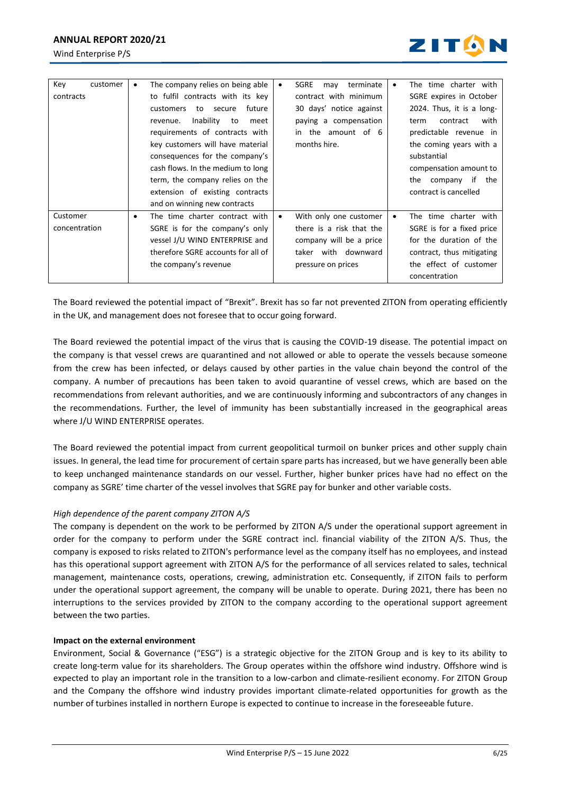#### **ANNUAL REPORT 2020/21**

Wind Enterprise P/S



| Key<br>customer<br>contracts | The company relies on being able<br>$\bullet$<br>to fulfil contracts with its key<br>future<br>customers<br>to secure<br>Inability to<br>meet<br>revenue.<br>requirements of contracts with<br>key customers will have material<br>consequences for the company's<br>cash flows. In the medium to long<br>term, the company relies on the<br>extension of existing contracts | SGRE<br>terminate<br>may<br>$\bullet$<br>contract with minimum<br>30 days' notice against<br>paying a compensation<br>in the amount of 6<br>months hire. | The time charter with<br>$\bullet$<br>SGRE expires in October<br>2024. Thus, it is a long-<br>contract<br>with<br>term<br>predictable revenue in<br>the coming years with a<br>substantial<br>compensation amount to<br>company if the<br>the<br>contract is cancelled |
|------------------------------|------------------------------------------------------------------------------------------------------------------------------------------------------------------------------------------------------------------------------------------------------------------------------------------------------------------------------------------------------------------------------|----------------------------------------------------------------------------------------------------------------------------------------------------------|------------------------------------------------------------------------------------------------------------------------------------------------------------------------------------------------------------------------------------------------------------------------|
|                              | and on winning new contracts                                                                                                                                                                                                                                                                                                                                                 |                                                                                                                                                          |                                                                                                                                                                                                                                                                        |
| Customer                     | The time charter contract with<br>٠                                                                                                                                                                                                                                                                                                                                          | With only one customer<br>$\bullet$                                                                                                                      | The time charter with<br>$\bullet$                                                                                                                                                                                                                                     |
| concentration                | SGRE is for the company's only                                                                                                                                                                                                                                                                                                                                               | there is a risk that the                                                                                                                                 | SGRE is for a fixed price                                                                                                                                                                                                                                              |
|                              | vessel J/U WIND ENTERPRISE and                                                                                                                                                                                                                                                                                                                                               | company will be a price                                                                                                                                  | for the duration of the                                                                                                                                                                                                                                                |
|                              | therefore SGRE accounts for all of                                                                                                                                                                                                                                                                                                                                           | taker with downward                                                                                                                                      | contract, thus mitigating                                                                                                                                                                                                                                              |
|                              | the company's revenue                                                                                                                                                                                                                                                                                                                                                        | pressure on prices                                                                                                                                       | the effect of customer                                                                                                                                                                                                                                                 |
|                              |                                                                                                                                                                                                                                                                                                                                                                              |                                                                                                                                                          | concentration                                                                                                                                                                                                                                                          |

The Board reviewed the potential impact of "Brexit". Brexit has so far not prevented ZITON from operating efficiently in the UK, and management does not foresee that to occur going forward.

The Board reviewed the potential impact of the virus that is causing the COVID-19 disease. The potential impact on the company is that vessel crews are quarantined and not allowed or able to operate the vessels because someone from the crew has been infected, or delays caused by other parties in the value chain beyond the control of the company. A number of precautions has been taken to avoid quarantine of vessel crews, which are based on the recommendations from relevant authorities, and we are continuously informing and subcontractors of any changes in the recommendations. Further, the level of immunity has been substantially increased in the geographical areas where J/U WIND ENTERPRISE operates.

The Board reviewed the potential impact from current geopolitical turmoil on bunker prices and other supply chain issues. In general, the lead time for procurement of certain spare parts has increased, but we have generally been able to keep unchanged maintenance standards on our vessel. Further, higher bunker prices have had no effect on the company as SGRE' time charter of the vessel involves that SGRE pay for bunker and other variable costs.

#### *High dependence of the parent company ZITON A/S*

The company is dependent on the work to be performed by ZITON A/S under the operational support agreement in order for the company to perform under the SGRE contract incl. financial viability of the ZITON A/S. Thus, the company is exposed to risks related to ZITON's performance level as the company itself has no employees, and instead has this operational support agreement with ZITON A/S for the performance of all services related to sales, technical management, maintenance costs, operations, crewing, administration etc. Consequently, if ZITON fails to perform under the operational support agreement, the company will be unable to operate. During 2021, there has been no interruptions to the services provided by ZITON to the company according to the operational support agreement between the two parties.

#### **Impact on the external environment**

Environment, Social & Governance ("ESG") is a strategic objective for the ZITON Group and is key to its ability to create long-term value for its shareholders. The Group operates within the offshore wind industry. Offshore wind is expected to play an important role in the transition to a low-carbon and climate-resilient economy. For ZITON Group and the Company the offshore wind industry provides important climate-related opportunities for growth as the number of turbines installed in northern Europe is expected to continue to increase in the foreseeable future.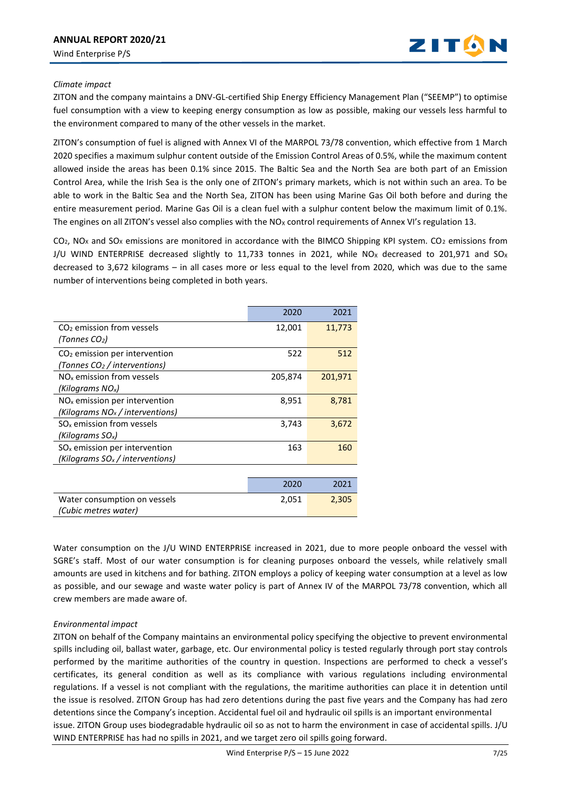

#### *Climate impact*

ZITON and the company maintains a DNV-GL-certified Ship Energy Efficiency Management Plan ("SEEMP") to optimise fuel consumption with a view to keeping energy consumption as low as possible, making our vessels less harmful to the environment compared to many of the other vessels in the market.

ZITON's consumption of fuel is aligned with Annex VI of the MARPOL 73/78 convention, which effective from 1 March 2020 specifies a maximum sulphur content outside of the Emission Control Areas of 0.5%, while the maximum content allowed inside the areas has been 0.1% since 2015. The Baltic Sea and the North Sea are both part of an Emission Control Area, while the Irish Sea is the only one of ZITON's primary markets, which is not within such an area. To be able to work in the Baltic Sea and the North Sea, ZITON has been using Marine Gas Oil both before and during the entire measurement period. Marine Gas Oil is a clean fuel with a sulphur content below the maximum limit of 0.1%. The engines on all ZITON's vessel also complies with the NO<sub>x</sub> control requirements of Annex VI's regulation 13.

 $CO<sub>2</sub>$ , NO<sub>x</sub> and SO<sub>x</sub> emissions are monitored in accordance with the BIMCO Shipping KPI system.  $CO<sub>2</sub>$  emissions from J/U WIND ENTERPRISE decreased slightly to 11,733 tonnes in 2021, while NO<sub>x</sub> decreased to 201,971 and SO<sub>x</sub> decreased to 3,672 kilograms – in all cases more or less equal to the level from 2020, which was due to the same number of interventions being completed in both years.

|                                             | 2020    | 2021    |
|---------------------------------------------|---------|---------|
| $CO2$ emission from vessels                 | 12,001  | 11,773  |
| (Tonnes CO <sub>2</sub> )                   |         |         |
| CO <sub>2</sub> emission per intervention   | 522     | 512     |
| (Tonnes CO2 / interventions)                |         |         |
| $NOx$ emission from vessels                 | 205,874 | 201,971 |
| (Kilograms NO <sub>x</sub> )                |         |         |
| $NOx$ emission per intervention             | 8,951   | 8,781   |
| (Kilograms $NO_x/$ interventions)           |         |         |
| $SOx$ emission from vessels                 | 3,743   | 3,672   |
| (Kilograms SO <sub>x</sub> )                |         |         |
| $SOx$ emission per intervention             | 163     | 160     |
| (Kilograms SO <sub>x</sub> / interventions) |         |         |
|                                             |         |         |
|                                             | 2020    | 2021    |
| Water consumption on vessels                | 2,051   | 2,305   |
| (Cubic metres water)                        |         |         |

Water consumption on the J/U WIND ENTERPRISE increased in 2021, due to more people onboard the vessel with SGRE's staff. Most of our water consumption is for cleaning purposes onboard the vessels, while relatively small amounts are used in kitchens and for bathing. ZITON employs a policy of keeping water consumption at a level as low as possible, and our sewage and waste water policy is part of Annex IV of the MARPOL 73/78 convention, which all crew members are made aware of.

#### *Environmental impact*

ZITON on behalf of the Company maintains an environmental policy specifying the objective to prevent environmental spills including oil, ballast water, garbage, etc. Our environmental policy is tested regularly through port stay controls performed by the maritime authorities of the country in question. Inspections are performed to check a vessel's certificates, its general condition as well as its compliance with various regulations including environmental regulations. If a vessel is not compliant with the regulations, the maritime authorities can place it in detention until the issue is resolved. ZITON Group has had zero detentions during the past five years and the Company has had zero detentions since the Company's inception. Accidental fuel oil and hydraulic oil spills is an important environmental issue. ZITON Group uses biodegradable hydraulic oil so as not to harm the environment in case of accidental spills. J/U WIND ENTERPRISE has had no spills in 2021, and we target zero oil spills going forward.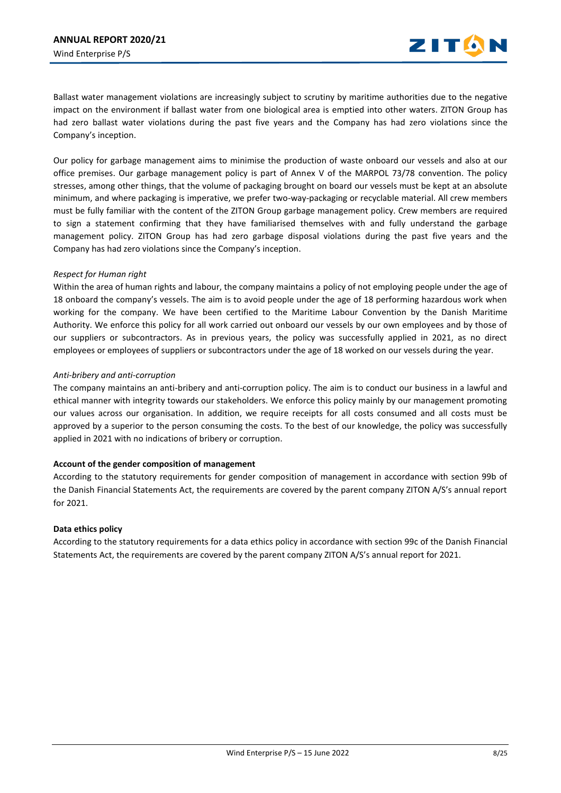

Ballast water management violations are increasingly subject to scrutiny by maritime authorities due to the negative impact on the environment if ballast water from one biological area is emptied into other waters. ZITON Group has had zero ballast water violations during the past five years and the Company has had zero violations since the Company's inception.

Our policy for garbage management aims to minimise the production of waste onboard our vessels and also at our office premises. Our garbage management policy is part of Annex V of the MARPOL 73/78 convention. The policy stresses, among other things, that the volume of packaging brought on board our vessels must be kept at an absolute minimum, and where packaging is imperative, we prefer two-way-packaging or recyclable material. All crew members must be fully familiar with the content of the ZITON Group garbage management policy. Crew members are required to sign a statement confirming that they have familiarised themselves with and fully understand the garbage management policy. ZITON Group has had zero garbage disposal violations during the past five years and the Company has had zero violations since the Company's inception.

#### *Respect for Human right*

Within the area of human rights and labour, the company maintains a policy of not employing people under the age of 18 onboard the company's vessels. The aim is to avoid people under the age of 18 performing hazardous work when working for the company. We have been certified to the Maritime Labour Convention by the Danish Maritime Authority. We enforce this policy for all work carried out onboard our vessels by our own employees and by those of our suppliers or subcontractors. As in previous years, the policy was successfully applied in 2021, as no direct employees or employees of suppliers or subcontractors under the age of 18 worked on our vessels during the year.

#### *Anti-bribery and anti-corruption*

The company maintains an anti-bribery and anti-corruption policy. The aim is to conduct our business in a lawful and ethical manner with integrity towards our stakeholders. We enforce this policy mainly by our management promoting our values across our organisation. In addition, we require receipts for all costs consumed and all costs must be approved by a superior to the person consuming the costs. To the best of our knowledge, the policy was successfully applied in 2021 with no indications of bribery or corruption.

#### **Account of the gender composition of management**

According to the statutory requirements for gender composition of management in accordance with section 99b of the Danish Financial Statements Act, the requirements are covered by the parent company ZITON A/S's annual report for 2021.

#### **Data ethics policy**

According to the statutory requirements for a data ethics policy in accordance with section 99c of the Danish Financial Statements Act, the requirements are covered by the parent company ZITON A/S's annual report for 2021.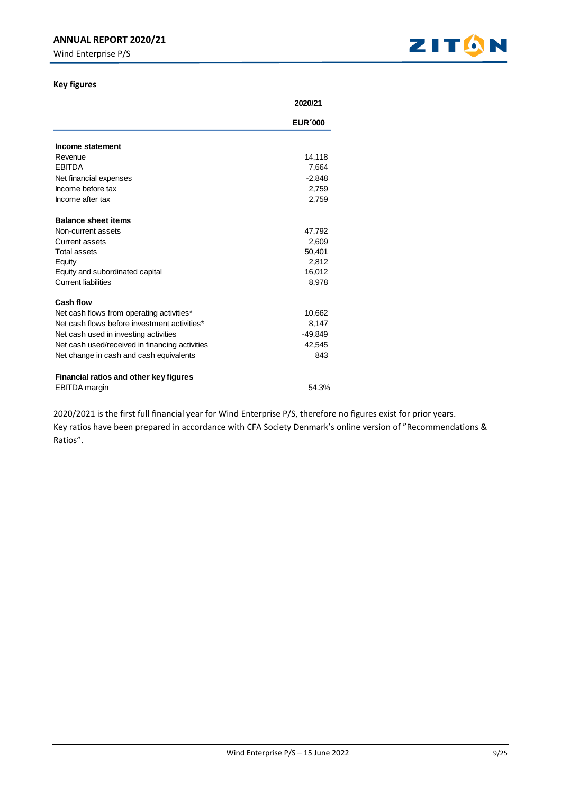#### **ANNUAL REPORT 2020/21**

Wind Enterprise P/S



#### **Key figures**

|                                                | 2020/21        |
|------------------------------------------------|----------------|
|                                                | <b>EUR</b> 000 |
| Income statement                               |                |
| Revenue                                        | 14,118         |
| <b>EBITDA</b>                                  | 7,664          |
| Net financial expenses                         | $-2,848$       |
| Income before tax                              | 2,759          |
| Income after tax                               | 2,759          |
| <b>Balance sheet items</b>                     |                |
| Non-current assets                             | 47,792         |
| Current assets                                 | 2,609          |
| <b>Total assets</b>                            | 50,401         |
| Equity                                         | 2,812          |
| Equity and subordinated capital                | 16,012         |
| <b>Current liabilities</b>                     | 8,978          |
| <b>Cash flow</b>                               |                |
| Net cash flows from operating activities*      | 10,662         |
| Net cash flows before investment activities*   | 8,147          |
| Net cash used in investing activities          | $-49,849$      |
| Net cash used/received in financing activities | 42,545         |
| Net change in cash and cash equivalents        | 843            |
| Financial ratios and other key figures         |                |
| <b>EBITDA</b> margin                           | 54.3%          |

2020/2021 is the first full financial year for Wind Enterprise P/S, therefore no figures exist for prior years. Key ratios have been prepared in accordance with CFA Society Denmark's online version of "Recommendations & Ratios".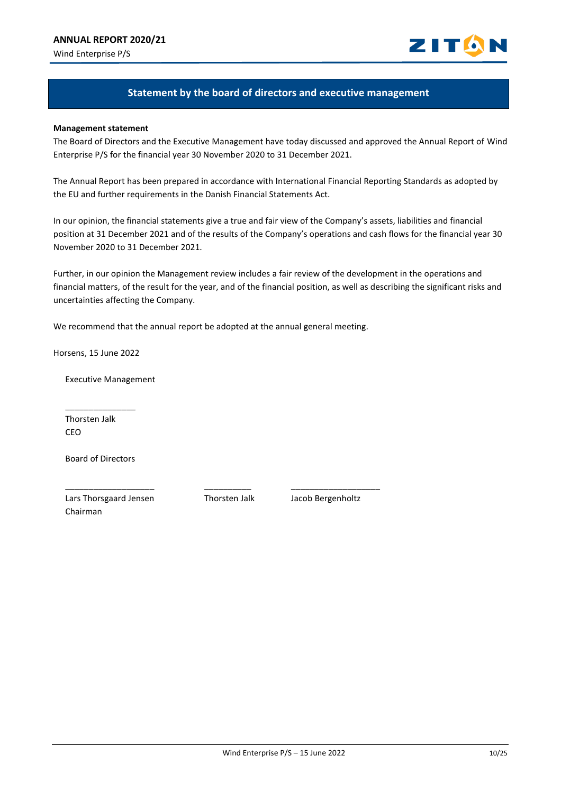

## **Statement by the board of directors and executive management**

#### <span id="page-10-0"></span>**Management statement**

The Board of Directors and the Executive Management have today discussed and approved the Annual Report of Wind Enterprise P/S for the financial year 30 November 2020 to 31 December 2021.

The Annual Report has been prepared in accordance with International Financial Reporting Standards as adopted by the EU and further requirements in the Danish Financial Statements Act.

In our opinion, the financial statements give a true and fair view of the Company's assets, liabilities and financial position at 31 December 2021 and of the results of the Company's operations and cash flows for the financial year 30 November 2020 to 31 December 2021.

Further, in our opinion the Management review includes a fair review of the development in the operations and financial matters, of the result for the year, and of the financial position, as well as describing the significant risks and uncertainties affecting the Company.

We recommend that the annual report be adopted at the annual general meeting.

Horsens, 15 June 2022

Executive Management

Thorsten Jalk **CEO** 

Board of Directors

\_\_\_\_\_\_\_\_\_\_\_\_\_\_\_

Lars Thorsgaard Jensen Chairman

\_\_\_\_\_\_\_\_\_\_\_\_\_\_\_\_\_\_\_

\_\_\_\_\_\_\_\_\_\_ Thorsten Jalk

Jacob Bergenholtz

\_\_\_\_\_\_\_\_\_\_\_\_\_\_\_\_\_\_\_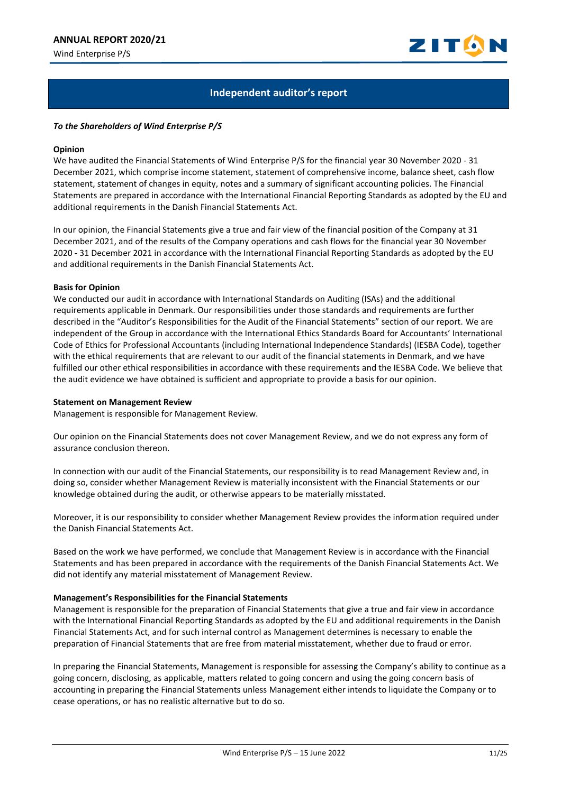

## **Independent auditor's report**

#### <span id="page-11-0"></span>*To the Shareholders of Wind Enterprise P/S*

#### **Opinion**

We have audited the Financial Statements of Wind Enterprise P/S for the financial year 30 November 2020 - 31 December 2021, which comprise income statement, statement of comprehensive income, balance sheet, cash flow statement, statement of changes in equity, notes and a summary of significant accounting policies. The Financial Statements are prepared in accordance with the International Financial Reporting Standards as adopted by the EU and additional requirements in the Danish Financial Statements Act.

In our opinion, the Financial Statements give a true and fair view of the financial position of the Company at 31 December 2021, and of the results of the Company operations and cash flows for the financial year 30 November 2020 - 31 December 2021 in accordance with the International Financial Reporting Standards as adopted by the EU and additional requirements in the Danish Financial Statements Act.

#### **Basis for Opinion**

We conducted our audit in accordance with International Standards on Auditing (ISAs) and the additional requirements applicable in Denmark. Our responsibilities under those standards and requirements are further described in the "Auditor's Responsibilities for the Audit of the Financial Statements" section of our report. We are independent of the Group in accordance with the International Ethics Standards Board for Accountants' International Code of Ethics for Professional Accountants (including International Independence Standards) (IESBA Code), together with the ethical requirements that are relevant to our audit of the financial statements in Denmark, and we have fulfilled our other ethical responsibilities in accordance with these requirements and the IESBA Code. We believe that the audit evidence we have obtained is sufficient and appropriate to provide a basis for our opinion.

#### **Statement on Management Review**

Management is responsible for Management Review.

Our opinion on the Financial Statements does not cover Management Review, and we do not express any form of assurance conclusion thereon.

In connection with our audit of the Financial Statements, our responsibility is to read Management Review and, in doing so, consider whether Management Review is materially inconsistent with the Financial Statements or our knowledge obtained during the audit, or otherwise appears to be materially misstated.

Moreover, it is our responsibility to consider whether Management Review provides the information required under the Danish Financial Statements Act.

Based on the work we have performed, we conclude that Management Review is in accordance with the Financial Statements and has been prepared in accordance with the requirements of the Danish Financial Statements Act. We did not identify any material misstatement of Management Review.

#### **Management's Responsibilities for the Financial Statements**

Management is responsible for the preparation of Financial Statements that give a true and fair view in accordance with the International Financial Reporting Standards as adopted by the EU and additional requirements in the Danish Financial Statements Act, and for such internal control as Management determines is necessary to enable the preparation of Financial Statements that are free from material misstatement, whether due to fraud or error.

In preparing the Financial Statements, Management is responsible for assessing the Company's ability to continue as a going concern, disclosing, as applicable, matters related to going concern and using the going concern basis of accounting in preparing the Financial Statements unless Management either intends to liquidate the Company or to cease operations, or has no realistic alternative but to do so.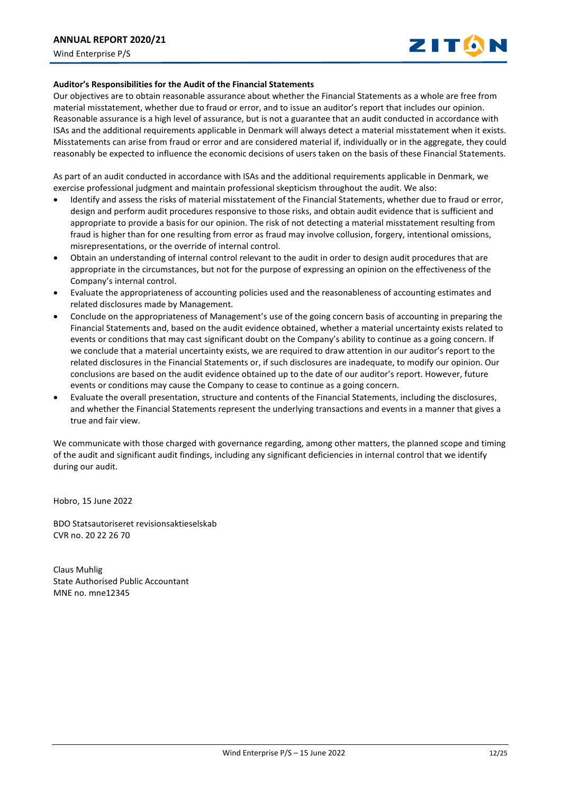

#### **Auditor's Responsibilities for the Audit of the Financial Statements**

Our objectives are to obtain reasonable assurance about whether the Financial Statements as a whole are free from material misstatement, whether due to fraud or error, and to issue an auditor's report that includes our opinion. Reasonable assurance is a high level of assurance, but is not a guarantee that an audit conducted in accordance with ISAs and the additional requirements applicable in Denmark will always detect a material misstatement when it exists. Misstatements can arise from fraud or error and are considered material if, individually or in the aggregate, they could reasonably be expected to influence the economic decisions of users taken on the basis of these Financial Statements.

As part of an audit conducted in accordance with ISAs and the additional requirements applicable in Denmark, we exercise professional judgment and maintain professional skepticism throughout the audit. We also:

- Identify and assess the risks of material misstatement of the Financial Statements, whether due to fraud or error, design and perform audit procedures responsive to those risks, and obtain audit evidence that is sufficient and appropriate to provide a basis for our opinion. The risk of not detecting a material misstatement resulting from fraud is higher than for one resulting from error as fraud may involve collusion, forgery, intentional omissions, misrepresentations, or the override of internal control.
- Obtain an understanding of internal control relevant to the audit in order to design audit procedures that are appropriate in the circumstances, but not for the purpose of expressing an opinion on the effectiveness of the Company's internal control.
- Evaluate the appropriateness of accounting policies used and the reasonableness of accounting estimates and related disclosures made by Management.
- Conclude on the appropriateness of Management's use of the going concern basis of accounting in preparing the Financial Statements and, based on the audit evidence obtained, whether a material uncertainty exists related to events or conditions that may cast significant doubt on the Company's ability to continue as a going concern. If we conclude that a material uncertainty exists, we are required to draw attention in our auditor's report to the related disclosures in the Financial Statements or, if such disclosures are inadequate, to modify our opinion. Our conclusions are based on the audit evidence obtained up to the date of our auditor's report. However, future events or conditions may cause the Company to cease to continue as a going concern.
- Evaluate the overall presentation, structure and contents of the Financial Statements, including the disclosures, and whether the Financial Statements represent the underlying transactions and events in a manner that gives a true and fair view.

We communicate with those charged with governance regarding, among other matters, the planned scope and timing of the audit and significant audit findings, including any significant deficiencies in internal control that we identify during our audit.

Hobro, 15 June 2022

BDO Statsautoriseret revisionsaktieselskab CVR no. 20 22 26 70

Claus Muhlig State Authorised Public Accountant MNE no. mne12345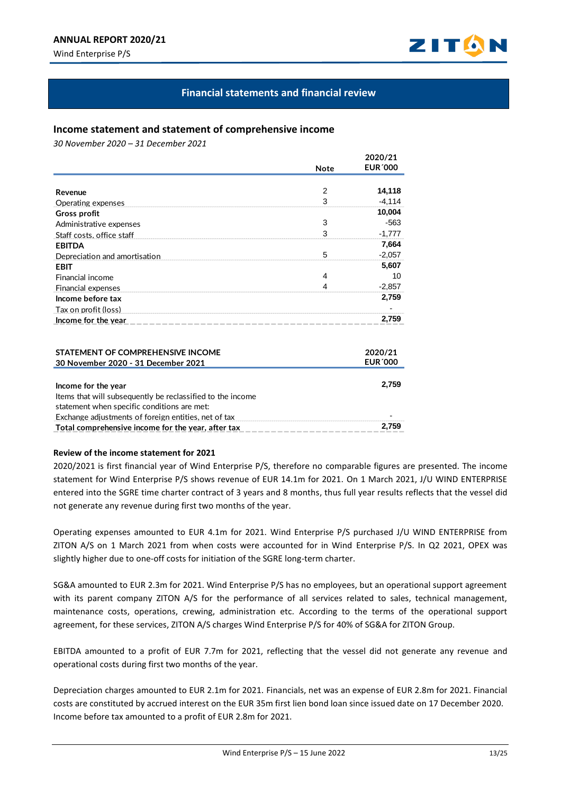

## **Financial statements and financial review**

#### <span id="page-13-0"></span>**Income statement and statement of comprehensive income**

*30 November 2020 – 31 December 2021*

|                               |             | 2020/21        |
|-------------------------------|-------------|----------------|
|                               | <b>Note</b> | <b>EUR</b> 000 |
|                               |             |                |
| Revenue                       | 2           | 14,118         |
| Operating expenses            | 3           | $-4,114$       |
| <b>Gross profit</b>           |             | 10,004         |
| Administrative expenses       | 3           | -563           |
| Staff costs, office staff     | 3           | $-1,777$       |
| <b>EBITDA</b>                 |             | 7,664          |
| Depreciation and amortisation | 5           | $-2,057$       |
| <b>EBIT</b>                   |             | 5,607          |
| Financial income              | 4           | 10             |
| <b>Financial expenses</b>     |             | $-2,857$       |
| Income before tax             |             | 2,759          |
| Tax on profit (loss)          |             |                |
| Income for the year           |             | 2.759          |
|                               |             |                |

| STATEMENT OF COMPREHENSIVE INCOME<br>30 November 2020 - 31 December 2021                                  | 2020/21<br><b>EUR '000</b> |
|-----------------------------------------------------------------------------------------------------------|----------------------------|
| Income for the year                                                                                       | 2.759                      |
| Items that will subsequently be reclassified to the income<br>statement when specific conditions are met: |                            |
| Exchange adjustments of foreign entities, net of tax                                                      |                            |
| Total comprehensive income for the year, after tax                                                        |                            |

#### **Review of the income statement for 2021**

2020/2021 is first financial year of Wind Enterprise P/S, therefore no comparable figures are presented. The income statement for Wind Enterprise P/S shows revenue of EUR 14.1m for 2021. On 1 March 2021, J/U WIND ENTERPRISE entered into the SGRE time charter contract of 3 years and 8 months, thus full year results reflects that the vessel did not generate any revenue during first two months of the year.

Operating expenses amounted to EUR 4.1m for 2021. Wind Enterprise P/S purchased J/U WIND ENTERPRISE from ZITON A/S on 1 March 2021 from when costs were accounted for in Wind Enterprise P/S. In Q2 2021, OPEX was slightly higher due to one-off costs for initiation of the SGRE long-term charter.

SG&A amounted to EUR 2.3m for 2021. Wind Enterprise P/S has no employees, but an operational support agreement with its parent company ZITON A/S for the performance of all services related to sales, technical management, maintenance costs, operations, crewing, administration etc. According to the terms of the operational support agreement, for these services, ZITON A/S charges Wind Enterprise P/S for 40% of SG&A for ZITON Group.

EBITDA amounted to a profit of EUR 7.7m for 2021, reflecting that the vessel did not generate any revenue and operational costs during first two months of the year.

Depreciation charges amounted to EUR 2.1m for 2021. Financials, net was an expense of EUR 2.8m for 2021. Financial costs are constituted by accrued interest on the EUR 35m first lien bond loan since issued date on 17 December 2020. Income before tax amounted to a profit of EUR 2.8m for 2021.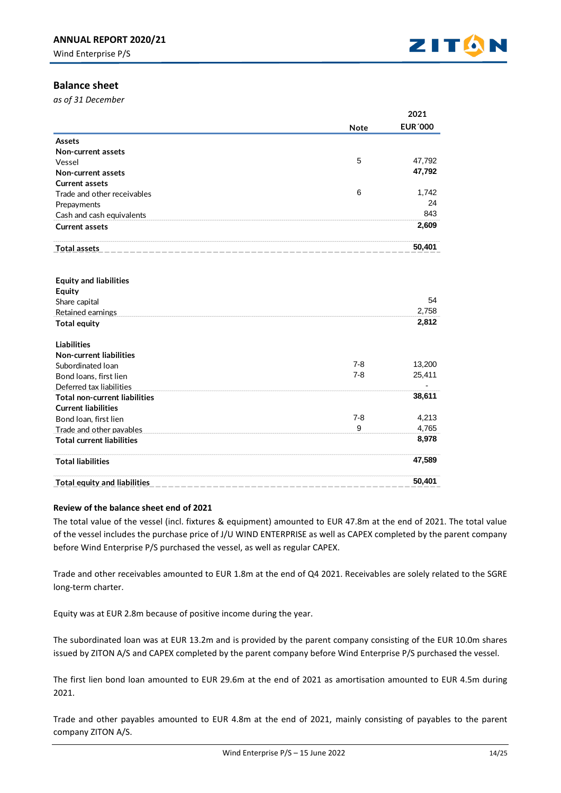

**2021**

## **Balance sheet**

*as of 31 December*

|                                      |             | ZUZI            |
|--------------------------------------|-------------|-----------------|
|                                      | <b>Note</b> | <b>EUR</b> '000 |
| Assets                               |             |                 |
| Non-current assets                   |             |                 |
| Vessel                               | 5           | 47,792          |
| Non-current assets                   |             | 47,792          |
| <b>Current assets</b>                |             |                 |
| Trade and other receivables          | 6           | 1,742           |
| Prepayments                          |             | 24              |
| Cash and cash equivalents            |             | 843             |
| <b>Current assets</b>                |             | 2,609           |
| <b>Total assets</b>                  |             | 50,401          |
| <b>Equity and liabilities</b>        |             |                 |
| Equity                               |             |                 |
| Share capital                        |             | 54              |
| Retained earnings                    |             | 2,758           |
| <b>Total equity</b>                  |             | 2,812           |
| <b>Liabilities</b>                   |             |                 |
| <b>Non-current liabilities</b>       |             |                 |
| Subordinated Ioan                    | $7 - 8$     | 13,200          |
| Bond loans, first lien               | $7 - 8$     | 25,411          |
| Deferred tax liabilities             |             |                 |
| <b>Total non-current liabilities</b> |             | 38,611          |
| <b>Current liabilities</b>           | $7 - 8$     |                 |
| Bond Joan, first lien                |             | 4,213           |
| Trade and other payables             | 9           | 4,765           |
| <b>Total current liabilities</b>     |             | 8,978           |
| <b>Total liabilities</b>             |             | 47,589          |
| <b>Total equity and liabilities</b>  |             | 50,401          |

#### **Review of the balance sheet end of 2021**

The total value of the vessel (incl. fixtures & equipment) amounted to EUR 47.8m at the end of 2021. The total value of the vessel includes the purchase price of J/U WIND ENTERPRISE as well as CAPEX completed by the parent company before Wind Enterprise P/S purchased the vessel, as well as regular CAPEX.

Trade and other receivables amounted to EUR 1.8m at the end of Q4 2021. Receivables are solely related to the SGRE long-term charter.

Equity was at EUR 2.8m because of positive income during the year.

The subordinated loan was at EUR 13.2m and is provided by the parent company consisting of the EUR 10.0m shares issued by ZITON A/S and CAPEX completed by the parent company before Wind Enterprise P/S purchased the vessel.

The first lien bond loan amounted to EUR 29.6m at the end of 2021 as amortisation amounted to EUR 4.5m during 2021.

Trade and other payables amounted to EUR 4.8m at the end of 2021, mainly consisting of payables to the parent company ZITON A/S.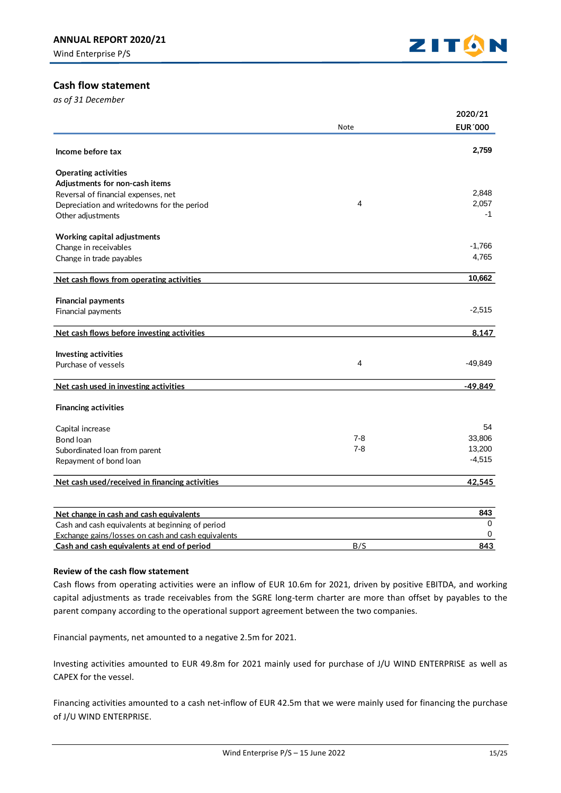# ZITI

## **Cash flow statement**

*as of 31 December*

|                                                    |         | 2020/21         |
|----------------------------------------------------|---------|-----------------|
|                                                    | Note    | <b>EUR</b> '000 |
| Income before tax                                  |         | 2,759           |
| <b>Operating activities</b>                        |         |                 |
| Adiustments for non-cash items                     |         |                 |
| Reversal of financial expenses, net                |         | 2,848           |
| Depreciation and writedowns for the period         | 4       | 2,057           |
| Other adiustments                                  |         | -1              |
| Working capital adjustments                        |         |                 |
| Change in receivables                              |         | $-1,766$        |
| Change in trade payables                           |         | 4,765           |
| Net cash flows from operating activities           |         | 10,662          |
| <b>Financial payments</b>                          |         |                 |
| Financial payments                                 |         | $-2,515$        |
|                                                    |         |                 |
| Net cash flows before investing activities         |         | 8,147           |
| <b>Investing activities</b>                        |         |                 |
| Purchase of vessels                                | 4       | -49,849         |
| Net cash used in investing activities              |         | $-49.849$       |
| <b>Financing activities</b>                        |         |                 |
| Capital increase                                   |         | 54              |
| Bond loan                                          | $7 - 8$ | 33,806          |
| Subordinated loan from parent                      | $7 - 8$ | 13,200          |
| Repayment of bond loan                             |         | $-4,515$        |
| Net cash used/received in financing activities     |         | 42,545          |
|                                                    |         |                 |
| Net change in cash and cash equivalents            |         | 843             |
| Cash and cash equivalents at beginning of period   |         | $\mathbf 0$     |
| Exchange gains/losses on cash and cash equivalents |         | 0               |

#### **Review of the cash flow statement**

Cash flows from operating activities were an inflow of EUR 10.6m for 2021, driven by positive EBITDA, and working capital adjustments as trade receivables from the SGRE long-term charter are more than offset by payables to the parent company according to the operational support agreement between the two companies.

**Cash and cash equivalents at end of period** B/S **843** 

Financial payments, net amounted to a negative 2.5m for 2021.

Investing activities amounted to EUR 49.8m for 2021 mainly used for purchase of J/U WIND ENTERPRISE as well as CAPEX for the vessel.

Financing activities amounted to a cash net-inflow of EUR 42.5m that we were mainly used for financing the purchase of J/U WIND ENTERPRISE.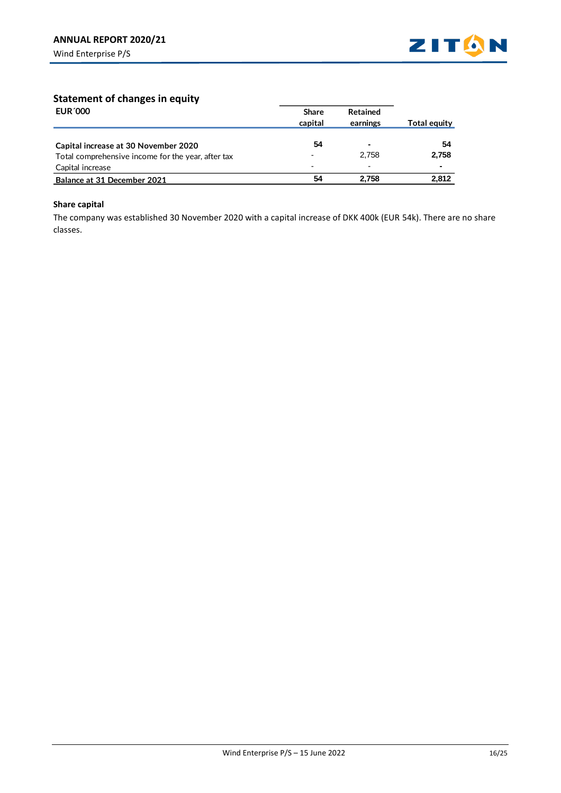

## **Statement of changes in equity**

| <b>EUR</b> 000                                                         | <b>Share</b><br>capital | Retained<br>earnings | Total equity |
|------------------------------------------------------------------------|-------------------------|----------------------|--------------|
| Capital increase at 30 November 2020                                   | 54                      |                      | 54           |
| Total comprehensive income for the year, after tax<br>Capital increase | ۰                       | 2.758                | 2.758        |
| Balance at 31 December 2021                                            | 54                      | 2.758                | 2.812        |

#### **Share capital**

The company was established 30 November 2020 with a capital increase of DKK 400k (EUR 54k). There are no share classes.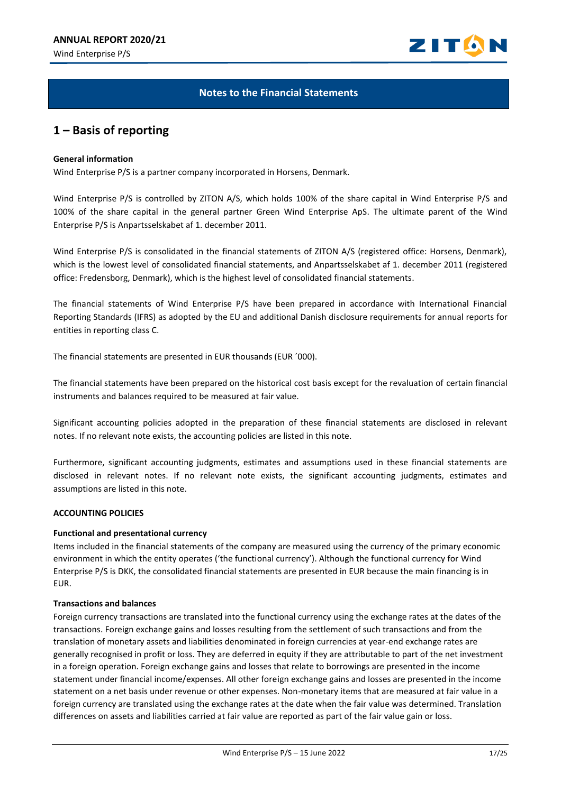

## **Notes to the Financial Statements**

## <span id="page-17-0"></span>**1 – Basis of reporting**

#### **General information**

Wind Enterprise P/S is a partner company incorporated in Horsens, Denmark.

Wind Enterprise P/S is controlled by ZITON A/S, which holds 100% of the share capital in Wind Enterprise P/S and 100% of the share capital in the general partner Green Wind Enterprise ApS. The ultimate parent of the Wind Enterprise P/S is Anpartsselskabet af 1. december 2011.

Wind Enterprise P/S is consolidated in the financial statements of ZITON A/S (registered office: Horsens, Denmark), which is the lowest level of consolidated financial statements, and Anpartsselskabet af 1. december 2011 (registered office: Fredensborg, Denmark), which is the highest level of consolidated financial statements.

The financial statements of Wind Enterprise P/S have been prepared in accordance with International Financial Reporting Standards (IFRS) as adopted by the EU and additional Danish disclosure requirements for annual reports for entities in reporting class C.

The financial statements are presented in EUR thousands (EUR ´000).

The financial statements have been prepared on the historical cost basis except for the revaluation of certain financial instruments and balances required to be measured at fair value.

Significant accounting policies adopted in the preparation of these financial statements are disclosed in relevant notes. If no relevant note exists, the accounting policies are listed in this note.

Furthermore, significant accounting judgments, estimates and assumptions used in these financial statements are disclosed in relevant notes. If no relevant note exists, the significant accounting judgments, estimates and assumptions are listed in this note.

#### **ACCOUNTING POLICIES**

#### **Functional and presentational currency**

Items included in the financial statements of the company are measured using the currency of the primary economic environment in which the entity operates ('the functional currency'). Although the functional currency for Wind Enterprise P/S is DKK, the consolidated financial statements are presented in EUR because the main financing is in EUR.

#### **Transactions and balances**

Foreign currency transactions are translated into the functional currency using the exchange rates at the dates of the transactions. Foreign exchange gains and losses resulting from the settlement of such transactions and from the translation of monetary assets and liabilities denominated in foreign currencies at year-end exchange rates are generally recognised in profit or loss. They are deferred in equity if they are attributable to part of the net investment in a foreign operation. Foreign exchange gains and losses that relate to borrowings are presented in the income statement under financial income/expenses. All other foreign exchange gains and losses are presented in the income statement on a net basis under revenue or other expenses. Non-monetary items that are measured at fair value in a foreign currency are translated using the exchange rates at the date when the fair value was determined. Translation differences on assets and liabilities carried at fair value are reported as part of the fair value gain or loss.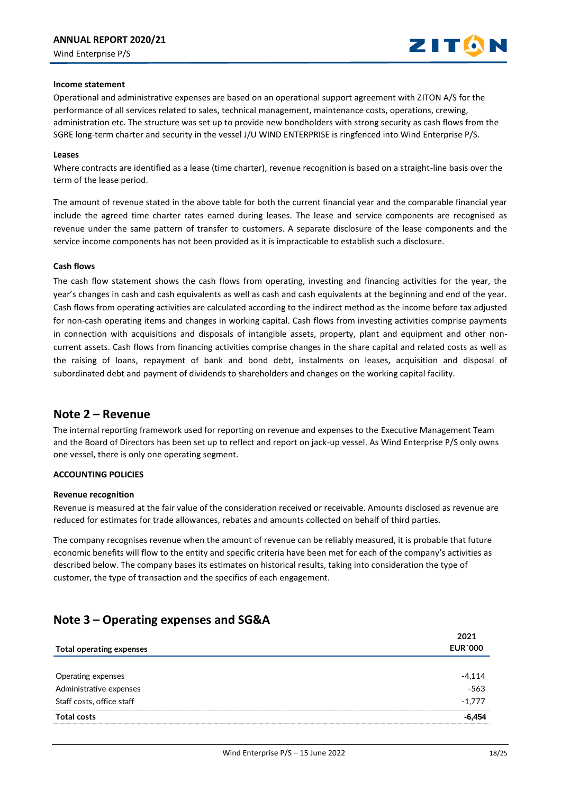

#### **Income statement**

Operational and administrative expenses are based on an operational support agreement with ZITON A/S for the performance of all services related to sales, technical management, maintenance costs, operations, crewing, administration etc. The structure was set up to provide new bondholders with strong security as cash flows from the SGRE long-term charter and security in the vessel J/U WIND ENTERPRISE is ringfenced into Wind Enterprise P/S.

#### **Leases**

Where contracts are identified as a lease (time charter), revenue recognition is based on a straight-line basis over the term of the lease period.

The amount of revenue stated in the above table for both the current financial year and the comparable financial year include the agreed time charter rates earned during leases. The lease and service components are recognised as revenue under the same pattern of transfer to customers. A separate disclosure of the lease components and the service income components has not been provided as it is impracticable to establish such a disclosure.

#### **Cash flows**

The cash flow statement shows the cash flows from operating, investing and financing activities for the year, the year's changes in cash and cash equivalents as well as cash and cash equivalents at the beginning and end of the year. Cash flows from operating activities are calculated according to the indirect method as the income before tax adjusted for non-cash operating items and changes in working capital. Cash flows from investing activities comprise payments in connection with acquisitions and disposals of intangible assets, property, plant and equipment and other noncurrent assets. Cash flows from financing activities comprise changes in the share capital and related costs as well as the raising of loans, repayment of bank and bond debt, instalments on leases, acquisition and disposal of subordinated debt and payment of dividends to shareholders and changes on the working capital facility.

## **Note 2 – Revenue**

The internal reporting framework used for reporting on revenue and expenses to the Executive Management Team and the Board of Directors has been set up to reflect and report on jack-up vessel. As Wind Enterprise P/S only owns one vessel, there is only one operating segment.

#### **ACCOUNTING POLICIES**

#### **Revenue recognition**

Revenue is measured at the fair value of the consideration received or receivable. Amounts disclosed as revenue are reduced for estimates for trade allowances, rebates and amounts collected on behalf of third parties.

The company recognises revenue when the amount of revenue can be reliably measured, it is probable that future economic benefits will flow to the entity and specific criteria have been met for each of the company's activities as described below. The company bases its estimates on historical results, taking into consideration the type of customer, the type of transaction and the specifics of each engagement.

## **Note 3 – Operating expenses and SG&A**

| Total operating expenses  | 2021<br><b>EUR</b> '000 |
|---------------------------|-------------------------|
|                           |                         |
| Operating expenses        | $-4,114$                |
| Administrative expenses   | $-563$                  |
| Staff costs, office staff | $-1.777$                |
| <b>Total costs</b>        | -6.454                  |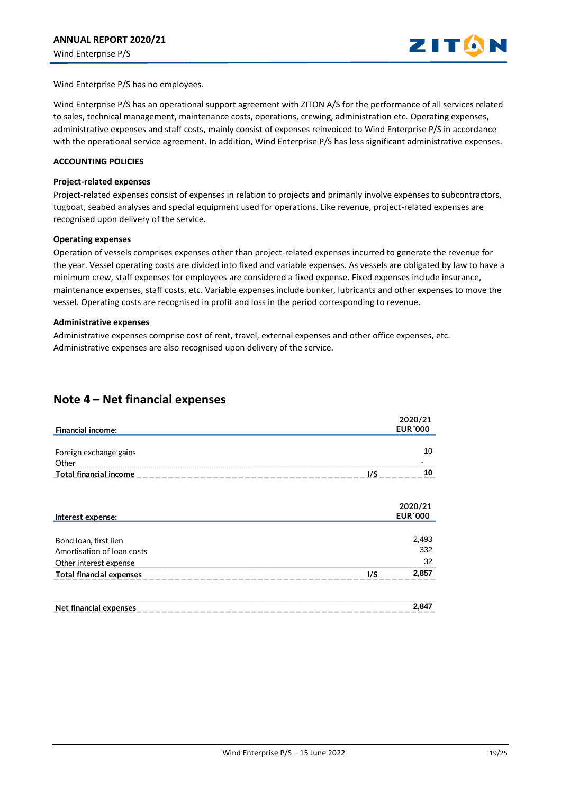

Wind Enterprise P/S has no employees.

Wind Enterprise P/S has an operational support agreement with ZITON A/S for the performance of all services related to sales, technical management, maintenance costs, operations, crewing, administration etc. Operating expenses, administrative expenses and staff costs, mainly consist of expenses reinvoiced to Wind Enterprise P/S in accordance with the operational service agreement. In addition, Wind Enterprise P/S has less significant administrative expenses.

#### **ACCOUNTING POLICIES**

#### **Project-related expenses**

Project-related expenses consist of expenses in relation to projects and primarily involve expenses to subcontractors, tugboat, seabed analyses and special equipment used for operations. Like revenue, project-related expenses are recognised upon delivery of the service.

#### **Operating expenses**

Operation of vessels comprises expenses other than project-related expenses incurred to generate the revenue for the year. Vessel operating costs are divided into fixed and variable expenses. As vessels are obligated by law to have a minimum crew, staff expenses for employees are considered a fixed expense. Fixed expenses include insurance, maintenance expenses, staff costs, etc. Variable expenses include bunker, lubricants and other expenses to move the vessel. Operating costs are recognised in profit and loss in the period corresponding to revenue.

#### **Administrative expenses**

Administrative expenses comprise cost of rent, travel, external expenses and other office expenses, etc. Administrative expenses are also recognised upon delivery of the service.

# **Note 4 – Net financial expenses**

| <b>Financial income:</b> | 2020/21<br><b>EUR '000</b> |
|--------------------------|----------------------------|
| Foreign exchange gains   | 10                         |
| Other                    |                            |
| Total financial income   |                            |

| Interest expense:               | 2020/21<br><b>EUR</b> 000 |
|---------------------------------|---------------------------|
|                                 |                           |
| Bond loan, first lien           | 2,493                     |
| Amortisation of loan costs      | 332                       |
| Other interest expense          | 32                        |
| <b>Total financial expenses</b> | 2.857                     |
|                                 |                           |
|                                 |                           |
| Net financial expenses          |                           |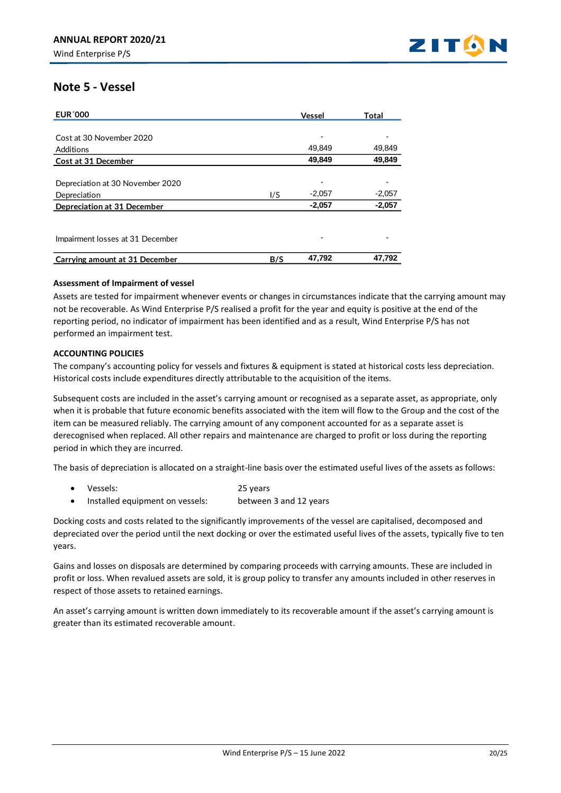

# **Note 5 - Vessel**

| <b>EUR '000</b>                    |               | <b>Vessel</b> | Total    |
|------------------------------------|---------------|---------------|----------|
|                                    |               |               |          |
| Cost at 30 November 2020           |               |               |          |
| Additions                          |               | 49,849        | 49,849   |
| <b>Cost at 31 December</b>         |               | 49,849        | 49,849   |
|                                    |               |               |          |
| Depreciation at 30 November 2020   |               |               |          |
| Depreciation                       | $\frac{1}{5}$ | $-2,057$      | $-2,057$ |
| <b>Depreciation at 31 December</b> |               | $-2,057$      | $-2,057$ |
|                                    |               |               |          |
| Impairment losses at 31 December   |               |               |          |
| Carrying amount at 31 December     | B/S           | 47,792        | 47,792   |

#### **Assessment of Impairment of vessel**

Assets are tested for impairment whenever events or changes in circumstances indicate that the carrying amount may not be recoverable. As Wind Enterprise P/S realised a profit for the year and equity is positive at the end of the reporting period, no indicator of impairment has been identified and as a result, Wind Enterprise P/S has not performed an impairment test.

#### **ACCOUNTING POLICIES**

The company's accounting policy for vessels and fixtures & equipment is stated at historical costs less depreciation. Historical costs include expenditures directly attributable to the acquisition of the items.

Subsequent costs are included in the asset's carrying amount or recognised as a separate asset, as appropriate, only when it is probable that future economic benefits associated with the item will flow to the Group and the cost of the item can be measured reliably. The carrying amount of any component accounted for as a separate asset is derecognised when replaced. All other repairs and maintenance are charged to profit or loss during the reporting period in which they are incurred.

The basis of depreciation is allocated on a straight-line basis over the estimated useful lives of the assets as follows:

- Vessels: 25 years
- Installed equipment on vessels: between 3 and 12 years

Docking costs and costs related to the significantly improvements of the vessel are capitalised, decomposed and depreciated over the period until the next docking or over the estimated useful lives of the assets, typically five to ten years.

Gains and losses on disposals are determined by comparing proceeds with carrying amounts. These are included in profit or loss. When revalued assets are sold, it is group policy to transfer any amounts included in other reserves in respect of those assets to retained earnings.

An asset's carrying amount is written down immediately to its recoverable amount if the asset's carrying amount is greater than its estimated recoverable amount.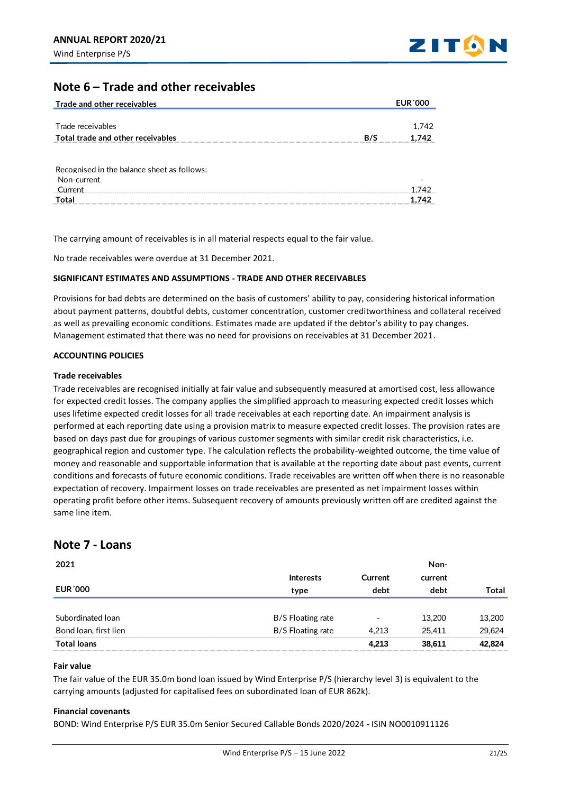

# **Note 6 – Trade and other receivables**

| Trade and other receivables                 |     | <b>EUR</b> '000 |
|---------------------------------------------|-----|-----------------|
|                                             |     |                 |
| Trade receivables                           |     | 1,742           |
| Total trade and other receivables           | B/S | 1.742           |
|                                             |     |                 |
|                                             |     |                 |
| Recognised in the balance sheet as follows: |     |                 |
| Non-current                                 |     |                 |
| Current                                     |     | 1742            |
| Total                                       |     | 1 742           |
|                                             |     |                 |

The carrying amount of receivables is in all material respects equal to the fair value.

No trade receivables were overdue at 31 December 2021.

#### **SIGNIFICANT ESTIMATES AND ASSUMPTIONS - TRADE AND OTHER RECEIVABLES**

Provisions for bad debts are determined on the basis of customers' ability to pay, considering historical information about payment patterns, doubtful debts, customer concentration, customer creditworthiness and collateral received as well as prevailing economic conditions. Estimates made are updated if the debtor's ability to pay changes. Management estimated that there was no need for provisions on receivables at 31 December 2021.

#### **ACCOUNTING POLICIES**

#### **Trade receivables**

Trade receivables are recognised initially at fair value and subsequently measured at amortised cost, less allowance for expected credit losses. The company applies the simplified approach to measuring expected credit losses which uses lifetime expected credit losses for all trade receivables at each reporting date. An impairment analysis is performed at each reporting date using a provision matrix to measure expected credit losses. The provision rates are based on days past due for groupings of various customer segments with similar credit risk characteristics, i.e. geographical region and customer type. The calculation reflects the probability-weighted outcome, the time value of money and reasonable and supportable information that is available at the reporting date about past events, current conditions and forecasts of future economic conditions. Trade receivables are written off when there is no reasonable expectation of recovery. Impairment losses on trade receivables are presented as net impairment losses within operating profit before other items. Subsequent recovery of amounts previously written off are credited against the same line item.

# **Note 7 - Loans**

| 2021                  |                          |         | Non-    |        |  |
|-----------------------|--------------------------|---------|---------|--------|--|
|                       | <b>Interests</b>         | Current | current |        |  |
| <b>EUR</b> 000        | type                     | debt    | debt    | Total  |  |
|                       |                          |         |         |        |  |
| Subordinated loan     | B/S Floating rate        | -       | 13.200  | 13,200 |  |
| Bond Ioan, first lien | <b>B/S Floating rate</b> | 4.213   | 25.411  | 29.624 |  |
| <b>Total loans</b>    |                          | 4.213   | 38,611  | 42.824 |  |
|                       |                          |         |         |        |  |

#### **Fair value**

The fair value of the EUR 35.0m bond loan issued by Wind Enterprise P/S (hierarchy level 3) is equivalent to the carrying amounts (adjusted for capitalised fees on subordinated loan of EUR 862k).

#### **Financial covenants**

BOND: Wind Enterprise P/S EUR 35.0m Senior Secured Callable Bonds 2020/2024 - ISIN NO0010911126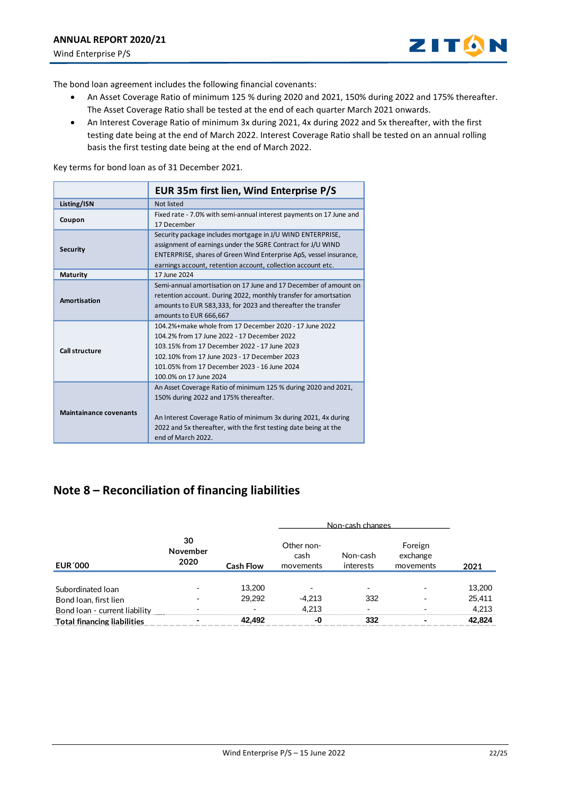

The bond loan agreement includes the following financial covenants:

- An Asset Coverage Ratio of minimum 125 % during 2020 and 2021, 150% during 2022 and 175% thereafter. The Asset Coverage Ratio shall be tested at the end of each quarter March 2021 onwards.
- An Interest Coverage Ratio of minimum 3x during 2021, 4x during 2022 and 5x thereafter, with the first testing date being at the end of March 2022. Interest Coverage Ratio shall be tested on an annual rolling basis the first testing date being at the end of March 2022.

Key terms for bond loan as of 31 December 2021.

|                               | EUR 35m first lien, Wind Enterprise P/S                                                                                                                                                                                                                                         |  |  |
|-------------------------------|---------------------------------------------------------------------------------------------------------------------------------------------------------------------------------------------------------------------------------------------------------------------------------|--|--|
| Listing/ISN                   | Not listed                                                                                                                                                                                                                                                                      |  |  |
| Coupon                        | Fixed rate - 7.0% with semi-annual interest payments on 17 June and<br>17 December                                                                                                                                                                                              |  |  |
| <b>Security</b>               | Security package includes mortgage in J/U WIND ENTERPRISE,<br>assignment of earnings under the SGRE Contract for J/U WIND<br>ENTERPRISE, shares of Green Wind Enterprise ApS, vessel insurance,<br>earnings account, retention account, collection account etc.                 |  |  |
| <b>Maturity</b>               | 17 lune 2024                                                                                                                                                                                                                                                                    |  |  |
| <b>Amortisation</b>           | Semi-annual amortisation on 17 June and 17 December of amount on<br>retention account. During 2022, monthly transfer for amortsation<br>amounts to EUR 583,333, for 2023 and thereafter the transfer<br>amounts to EUR 666,667                                                  |  |  |
| Call structure                | 104.2%+make whole from 17 December 2020 - 17 June 2022<br>104.2% from 17 June 2022 - 17 December 2022<br>103.15% from 17 December 2022 - 17 June 2023<br>102.10% from 17 June 2023 - 17 December 2023<br>101.05% from 17 December 2023 - 16 June 2024<br>100.0% on 17 June 2024 |  |  |
| <b>Maintainance covenants</b> | An Asset Coverage Ratio of minimum 125 % during 2020 and 2021,<br>150% during 2022 and 175% thereafter.<br>An Interest Coverage Ratio of minimum 3x during 2021, 4x during<br>2022 and 5x thereafter, with the first testing date being at the<br>end of March 2022.            |  |  |

# **Note 8 – Reconciliation of financing liabilities**

|                                    |                        | Non-cash changes |                                 |                       |                                  |        |
|------------------------------------|------------------------|------------------|---------------------------------|-----------------------|----------------------------------|--------|
| <b>EUR '000</b>                    | 30<br>November<br>2020 | <b>Cash Flow</b> | Other non-<br>cash<br>movements | Non-cash<br>interests | Foreign<br>exchange<br>movements | 2021   |
|                                    |                        |                  |                                 |                       |                                  |        |
| Subordinated loan                  |                        | 13,200           | -                               |                       |                                  | 13,200 |
| Bond loan, first lien              |                        | 29,292           | $-4,213$                        | 332                   |                                  | 25,411 |
| Bond loan - current liability      |                        |                  | 4.213                           |                       |                                  | 4,213  |
| <b>Total financing liabilities</b> |                        | 42.492           | -0                              | 332                   |                                  | 42,824 |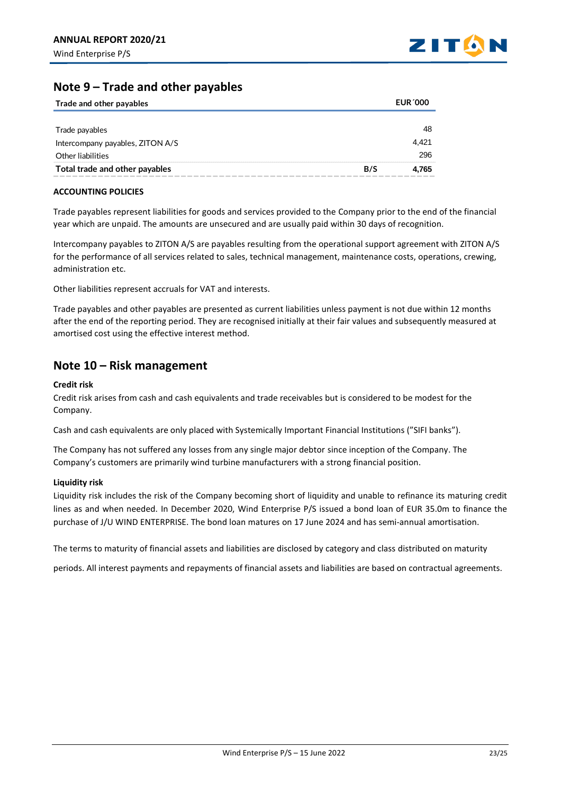

# **Note 9 – Trade and other payables**

| Trade and other payables              | <b>EUR</b> '000 |
|---------------------------------------|-----------------|
|                                       |                 |
| Trade payables                        | 48              |
| Intercompany payables, ZITON A/S      | 4.421           |
| Other liabilities                     | 296             |
| Total trade and other payables<br>B/S | 4.765           |

#### **ACCOUNTING POLICIES**

Trade payables represent liabilities for goods and services provided to the Company prior to the end of the financial year which are unpaid. The amounts are unsecured and are usually paid within 30 days of recognition.

Intercompany payables to ZITON A/S are payables resulting from the operational support agreement with ZITON A/S for the performance of all services related to sales, technical management, maintenance costs, operations, crewing, administration etc.

Other liabilities represent accruals for VAT and interests.

Trade payables and other payables are presented as current liabilities unless payment is not due within 12 months after the end of the reporting period. They are recognised initially at their fair values and subsequently measured at amortised cost using the effective interest method.

## **Note 10 – Risk management**

#### **Credit risk**

Credit risk arises from cash and cash equivalents and trade receivables but is considered to be modest for the Company.

Cash and cash equivalents are only placed with Systemically Important Financial Institutions ("SIFI banks").

The Company has not suffered any losses from any single major debtor since inception of the Company. The Company's customers are primarily wind turbine manufacturers with a strong financial position.

#### **Liquidity risk**

Liquidity risk includes the risk of the Company becoming short of liquidity and unable to refinance its maturing credit lines as and when needed. In December 2020, Wind Enterprise P/S issued a bond loan of EUR 35.0m to finance the purchase of J/U WIND ENTERPRISE. The bond loan matures on 17 June 2024 and has semi-annual amortisation.

The terms to maturity of financial assets and liabilities are disclosed by category and class distributed on maturity

periods. All interest payments and repayments of financial assets and liabilities are based on contractual agreements.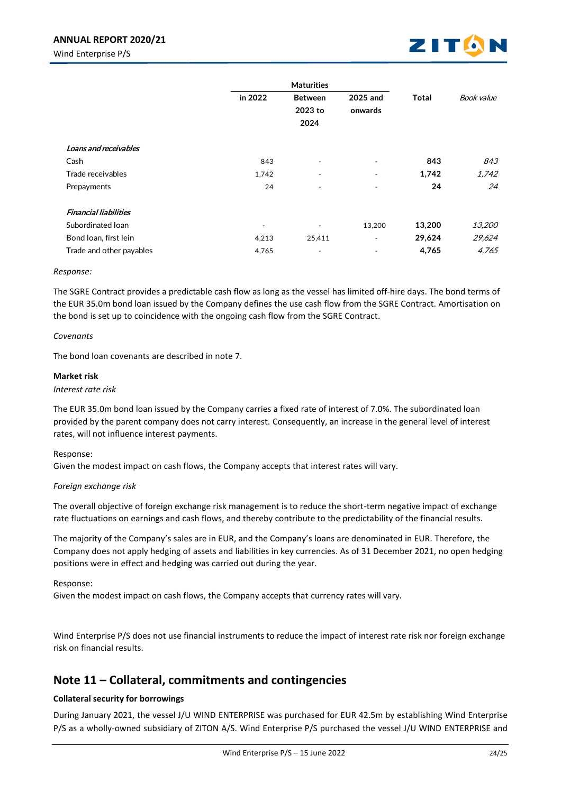

|                              | <b>Maturities</b> |                |          |              |            |  |
|------------------------------|-------------------|----------------|----------|--------------|------------|--|
|                              | in 2022           | <b>Between</b> | 2025 and | <b>Total</b> | Book value |  |
|                              |                   | 2023 to        | onwards  |              |            |  |
|                              |                   | 2024           |          |              |            |  |
| Loans and receivables        |                   |                |          |              |            |  |
| Cash                         | 843               |                | $\sim$   | 843          | 843        |  |
| Trade receivables            | 1,742             |                | ٠        | 1,742        | 1,742      |  |
| Prepayments                  | 24                | ٠              | $\sim$   | 24           | 24         |  |
| <b>Financial liabilities</b> |                   |                |          |              |            |  |
| Subordinated Ioan            | ٠                 | ٠              | 13,200   | 13,200       | 13,200     |  |
| Bond loan, first lein        | 4,213             | 25,411         | $\sim$   | 29,624       | 29,624     |  |
| Trade and other payables     | 4,765             | ٠              | ٠        | 4,765        | 4,765      |  |

#### *Response:*

The SGRE Contract provides a predictable cash flow as long as the vessel has limited off-hire days. The bond terms of the EUR 35.0m bond loan issued by the Company defines the use cash flow from the SGRE Contract. Amortisation on the bond is set up to coincidence with the ongoing cash flow from the SGRE Contract.

#### *Covenants*

The bond loan covenants are described in note 7.

#### **Market risk**

#### *Interest rate risk*

The EUR 35.0m bond loan issued by the Company carries a fixed rate of interest of 7.0%. The subordinated loan provided by the parent company does not carry interest. Consequently, an increase in the general level of interest rates, will not influence interest payments.

#### Response:

Given the modest impact on cash flows, the Company accepts that interest rates will vary.

#### *Foreign exchange risk*

The overall objective of foreign exchange risk management is to reduce the short-term negative impact of exchange rate fluctuations on earnings and cash flows, and thereby contribute to the predictability of the financial results.

The majority of the Company's sales are in EUR, and the Company's loans are denominated in EUR. Therefore, the Company does not apply hedging of assets and liabilities in key currencies. As of 31 December 2021, no open hedging positions were in effect and hedging was carried out during the year.

#### Response:

Given the modest impact on cash flows, the Company accepts that currency rates will vary.

Wind Enterprise P/S does not use financial instruments to reduce the impact of interest rate risk nor foreign exchange risk on financial results.

# **Note 11 – Collateral, commitments and contingencies**

#### **Collateral security for borrowings**

During January 2021, the vessel J/U WIND ENTERPRISE was purchased for EUR 42.5m by establishing Wind Enterprise P/S as a wholly-owned subsidiary of ZITON A/S. Wind Enterprise P/S purchased the vessel J/U WIND ENTERPRISE and